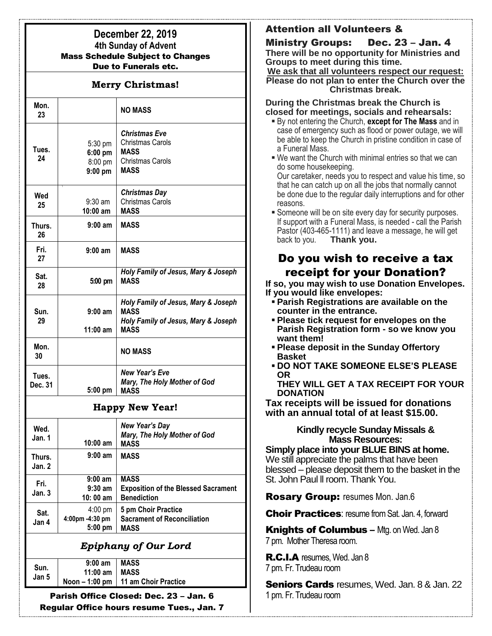## **December 22, 2019 4th Sunday of Advent**  Mass Schedule Subject to Changes Due to Funerals etc.

### **Merry Christmas!**

| Mon.<br>23       |                                              | <b>NO MASS</b>                                                                                           |
|------------------|----------------------------------------------|----------------------------------------------------------------------------------------------------------|
| Tues.<br>24      | 5:30 pm<br>$6:00$ pm<br>8:00 pm<br>$9:00$ pm | <b>Christmas Eve</b><br>Christmas Carols<br><b>MASS</b><br>Christmas Carols<br><b>MASS</b>               |
| Wed<br>25        | $9:30$ am<br>$10:00$ am                      | <b>Christmas Day</b><br><b>Christmas Carols</b><br><b>MASS</b>                                           |
| Thurs.<br>26     | $9:00$ am                                    | <b>MASS</b>                                                                                              |
| Fri.<br>27       | $9:00$ am                                    | <b>MASS</b>                                                                                              |
| Sat.<br>28       | 5:00 pm                                      | Holy Family of Jesus, Mary & Joseph<br><b>MASS</b>                                                       |
| Sun.<br>29       | $9:00$ am<br>$11:00$ am                      | Holy Family of Jesus, Mary & Joseph<br><b>MASS</b><br>Holy Family of Jesus, Mary & Joseph<br><b>MASS</b> |
| Mon.<br>30       |                                              | <b>NO MASS</b>                                                                                           |
| Tues.<br>Dec. 31 | 5:00 pm                                      | New Year's Eve<br>Mary, The Holy Mother of God<br><b>MASS</b>                                            |
|                  |                                              | <b>Happy New Year!</b>                                                                                   |
| امما             |                                              | <b>New Year's Day</b>                                                                                    |

| Wed.<br>Jan. 1   | $10:00$ am                                        | New Year's Day<br>Mary, The Holy Mother of God<br><b>MASS</b>                   |
|------------------|---------------------------------------------------|---------------------------------------------------------------------------------|
| Thurs.<br>Jan. 2 | $9:00$ am                                         | <b>MASS</b>                                                                     |
| Fri.<br>Jan. 3   | $9:00$ am<br>$9:30$ am<br>10:00 am                | <b>MASS</b><br><b>Exposition of the Blessed Sacrament</b><br><b>Benediction</b> |
| Sat.<br>Jan 4    | $4:00 \text{ pm}$<br>4:00pm -4:30 pm<br>$5:00$ pm | 5 pm Choir Practice<br><b>Sacrament of Reconciliation</b><br><b>MASS</b>        |

# *Epiphany of Our Lord*

| Sun.<br>Jan 5 | $9:00$ am             | <b>MASS</b>                            |
|---------------|-----------------------|----------------------------------------|
|               | 11:00 am $\vert$ MASS |                                        |
|               |                       | Noon $-1:00$ pm   11 am Choir Practice |

Parish Office Closed: Dec. 23 – Jan. 6 Regular Office hours resume Tues., Jan. 7

# Attention all Volunteers &

Ministry Groups: Dec. 23 – Jan. 4 **There will be no opportunity for Ministries and Groups to meet during this time.**

**We ask that all volunteers respect our request: Please do not plan to enter the Church over the Christmas break.**

### **During the Christmas break the Church is closed for meetings, socials and rehearsals:**

- By not entering the Church, **except for The Mass** and in case of emergency such as flood or power outage, we will be able to keep the Church in pristine condition in case of a Funeral Mass.
- We want the Church with minimal entries so that we can do some housekeeping.

Our caretaker, needs you to respect and value his time, so that he can catch up on all the jobs that normally cannot be done due to the regular daily interruptions and for other reasons.

**Someone will be on site every day for security purposes.** If support with a Funeral Mass, is needed - call the Parish Pastor (403-465-1111) and leave a message, he will get back to you. **Thank you.**

# Do you wish to receive a tax receipt for your Donation?

**If so, you may wish to use Donation Envelopes. If you would like envelopes:**

- **Parish Registrations are available on the counter in the entrance.**
- **Please tick request for envelopes on the Parish Registration form - so we know you want them!**
- **Please deposit in the Sunday Offertory Basket**
- **DO NOT TAKE SOMEONE ELSE'S PLEASE OR**

**THEY WILL GET A TAX RECEIPT FOR YOUR DONATION**

**Tax receipts will be issued for donations with an annual total of at least \$15.00.**

### **Kindly recycle Sunday Missals & Mass Resources:**

**Simply place into your BLUE BINS at home.**  We still appreciate the palms that have been blessed – please deposit them to the basket in the St. John Paul ll room. Thank You.

Rosary Group: resumes Mon. Jan.6

**Choir Practices: resume from Sat. Jan. 4, forward** 

**Knights of Columbus** – Mtg. on Wed. Jan 8 7 pm. Mother Theresa room.

R.C.I.A resumes, Wed. Jan 8 7 pm. Fr. Trudeau room

Seniors Cards resumes, Wed. Jan. 8 & Jan. 22 1 pm. Fr. Trudeau room